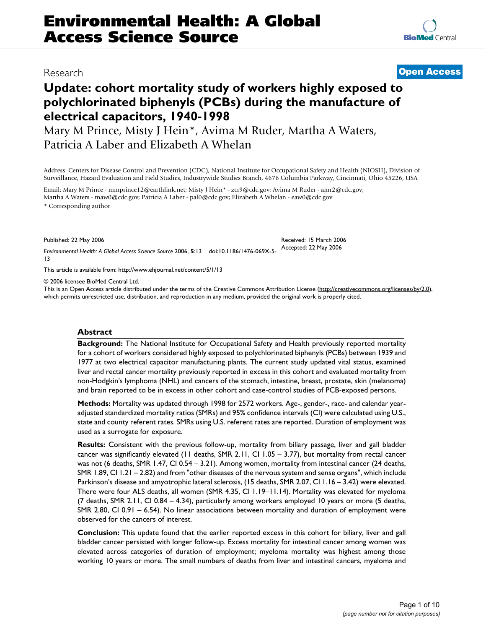## Research **[Open Access](http://www.biomedcentral.com/info/about/charter/)**

**[BioMed](http://www.biomedcentral.com/)** Central

# **Update: cohort mortality study of workers highly exposed to polychlorinated biphenyls (PCBs) during the manufacture of electrical capacitors, 1940-1998**

Mary M Prince, Misty J Hein\*, Avima M Ruder, Martha A Waters, Patricia A Laber and Elizabeth A Whelan

Address: Centers for Disease Control and Prevention (CDC), National Institute for Occupational Safety and Health (NIOSH), Division of Surveillance, Hazard Evaluation and Field Studies, Industrywide Studies Branch, 4676 Columbia Parkway, Cincinnati, Ohio 45226, USA

Email: Mary M Prince - mmprince12@earthlink.net; Misty J Hein\* - zcr9@cdc.gov; Avima M Ruder - amr2@cdc.gov; Martha A Waters - maw0@cdc.gov; Patricia A Laber - pal0@cdc.gov; Elizabeth A Whelan - eaw0@cdc.gov \* Corresponding author

Published: 22 May 2006

*Environmental Health: A Global Access Science Source* 2006, **5**:13 doi:10.1186/1476-069X-5- Accepted: 22 May 2006 13

[This article is available from: http://www.ehjournal.net/content/5/1/13](http://www.ehjournal.net/content/5/1/13)

© 2006 licensee BioMed Central Ltd.

This is an Open Access article distributed under the terms of the Creative Commons Attribution License [\(http://creativecommons.org/licenses/by/2.0\)](http://creativecommons.org/licenses/by/2.0), which permits unrestricted use, distribution, and reproduction in any medium, provided the original work is properly cited.

Received: 15 March 2006

## **Abstract**

**Background:** The National Institute for Occupational Safety and Health previously reported mortality for a cohort of workers considered highly exposed to polychlorinated biphenyls (PCBs) between 1939 and 1977 at two electrical capacitor manufacturing plants. The current study updated vital status, examined liver and rectal cancer mortality previously reported in excess in this cohort and evaluated mortality from non-Hodgkin's lymphoma (NHL) and cancers of the stomach, intestine, breast, prostate, skin (melanoma) and brain reported to be in excess in other cohort and case-control studies of PCB-exposed persons.

**Methods:** Mortality was updated through 1998 for 2572 workers. Age-, gender-, race- and calendar yearadjusted standardized mortality ratios (SMRs) and 95% confidence intervals (CI) were calculated using U.S., state and county referent rates. SMRs using U.S. referent rates are reported. Duration of employment was used as a surrogate for exposure.

**Results:** Consistent with the previous follow-up, mortality from biliary passage, liver and gall bladder cancer was significantly elevated (11 deaths, SMR 2.11, CI 1.05 – 3.77), but mortality from rectal cancer was not (6 deaths, SMR 1.47, CI 0.54 – 3.21). Among women, mortality from intestinal cancer (24 deaths, SMR 1.89, CI 1.21 – 2.82) and from "other diseases of the nervous system and sense organs", which include Parkinson's disease and amyotrophic lateral sclerosis, (15 deaths, SMR 2.07, CI 1.16 – 3.42) were elevated. There were four ALS deaths, all women (SMR 4.35, CI 1.19–11.14). Mortality was elevated for myeloma (7 deaths, SMR 2.11, CI 0.84 – 4.34), particularly among workers employed 10 years or more (5 deaths, SMR 2.80, CI 0.91 – 6.54). No linear associations between mortality and duration of employment were observed for the cancers of interest.

**Conclusion:** This update found that the earlier reported excess in this cohort for biliary, liver and gall bladder cancer persisted with longer follow-up. Excess mortality for intestinal cancer among women was elevated across categories of duration of employment; myeloma mortality was highest among those working 10 years or more. The small numbers of deaths from liver and intestinal cancers, myeloma and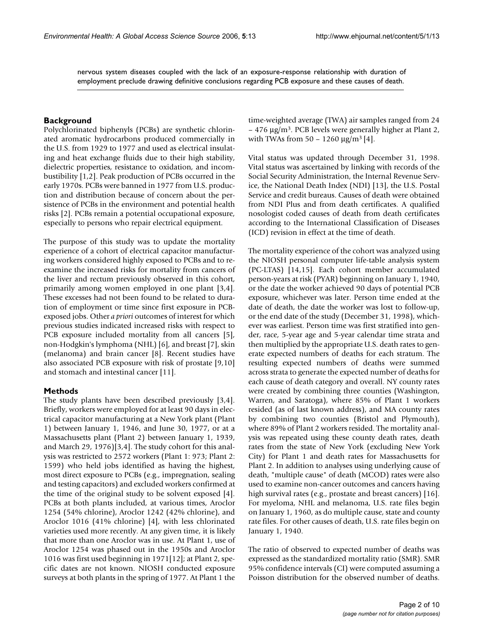nervous system diseases coupled with the lack of an exposure-response relationship with duration of employment preclude drawing definitive conclusions regarding PCB exposure and these causes of death.

#### **Background**

Polychlorinated biphenyls (PCBs) are synthetic chlorinated aromatic hydrocarbons produced commercially in the U.S. from 1929 to 1977 and used as electrical insulating and heat exchange fluids due to their high stability, dielectric properties, resistance to oxidation, and incombustibility [1,2]. Peak production of PCBs occurred in the early 1970s. PCBs were banned in 1977 from U.S. production and distribution because of concern about the persistence of PCBs in the environment and potential health risks [2]. PCBs remain a potential occupational exposure, especially to persons who repair electrical equipment.

The purpose of this study was to update the mortality experience of a cohort of electrical capacitor manufacturing workers considered highly exposed to PCBs and to reexamine the increased risks for mortality from cancers of the liver and rectum previously observed in this cohort, primarily among women employed in one plant [3,4]. These excesses had not been found to be related to duration of employment or time since first exposure in PCBexposed jobs. Other *a priori* outcomes of interest for which previous studies indicated increased risks with respect to PCB exposure included mortality from all cancers [5], non-Hodgkin's lymphoma (NHL) [6], and breast [7], skin (melanoma) and brain cancer [8]. Recent studies have also associated PCB exposure with risk of prostate [9,10] and stomach and intestinal cancer [11].

## **Methods**

The study plants have been described previously [3,4]. Briefly, workers were employed for at least 90 days in electrical capacitor manufacturing at a New York plant (Plant 1) between January 1, 1946, and June 30, 1977, or at a Massachusetts plant (Plant 2) between January 1, 1939, and March 29, 1976)[3,4]. The study cohort for this analysis was restricted to 2572 workers (Plant 1: 973; Plant 2: 1599) who held jobs identified as having the highest, most direct exposure to PCBs (e.g., impregnation, sealing and testing capacitors) and excluded workers confirmed at the time of the original study to be solvent exposed [4]. PCBs at both plants included, at various times, Aroclor 1254 (54% chlorine), Aroclor 1242 (42% chlorine), and Aroclor 1016 (41% chlorine) [4], with less chlorinated varieties used more recently. At any given time, it is likely that more than one Aroclor was in use. At Plant 1, use of Aroclor 1254 was phased out in the 1950s and Aroclor 1016 was first used beginning in 1971[12]; at Plant 2, specific dates are not known. NIOSH conducted exposure surveys at both plants in the spring of 1977. At Plant 1 the

time-weighted average (TWA) air samples ranged from 24  $-476 \mu g/m<sup>3</sup>$ . PCB levels were generally higher at Plant 2, with TWAs from  $50 - 1260 \mu g/m^3 [4]$ .

Vital status was updated through December 31, 1998. Vital status was ascertained by linking with records of the Social Security Administration, the Internal Revenue Service, the National Death Index (NDI) [13], the U.S. Postal Service and credit bureaus. Causes of death were obtained from NDI Plus and from death certificates. A qualified nosologist coded causes of death from death certificates according to the International Classification of Diseases (ICD) revision in effect at the time of death.

The mortality experience of the cohort was analyzed using the NIOSH personal computer life-table analysis system (PC-LTAS) [14,15]. Each cohort member accumulated person-years at risk (PYAR) beginning on January 1, 1940, or the date the worker achieved 90 days of potential PCB exposure, whichever was later. Person time ended at the date of death, the date the worker was lost to follow-up, or the end date of the study (December 31, 1998), whichever was earliest. Person time was first stratified into gender, race, 5-year age and 5-year calendar time strata and then multiplied by the appropriate U.S. death rates to generate expected numbers of deaths for each stratum. The resulting expected numbers of deaths were summed across strata to generate the expected number of deaths for each cause of death category and overall. NY county rates were created by combining three counties (Washington, Warren, and Saratoga), where 85% of Plant 1 workers resided (as of last known address), and MA county rates by combining two counties (Bristol and Plymouth), where 89% of Plant 2 workers resided. The mortality analysis was repeated using these county death rates, death rates from the state of New York (excluding New York City) for Plant 1 and death rates for Massachusetts for Plant 2. In addition to analyses using underlying cause of death, "multiple cause" of death (MCOD) rates were also used to examine non-cancer outcomes and cancers having high survival rates (e.g., prostate and breast cancers) [16]. For myeloma, NHL and melanoma, U.S. rate files begin on January 1, 1960, as do multiple cause, state and county rate files. For other causes of death, U.S. rate files begin on January 1, 1940.

The ratio of observed to expected number of deaths was expressed as the standardized mortality ratio (SMR). SMR 95% confidence intervals (CI) were computed assuming a Poisson distribution for the observed number of deaths.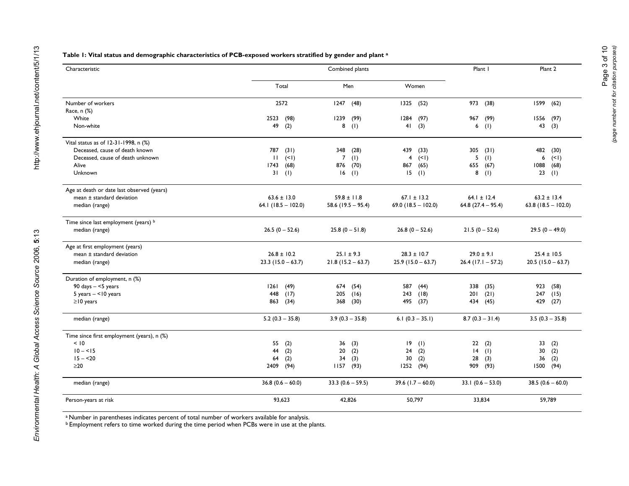#### **Table 1: Vital status and demographic characteristics of PCB-exposed workers stratified by gender and plant a**

| Characteristic                             |                       | Plant I                | Plant 2              |                      |                         |  |  |
|--------------------------------------------|-----------------------|------------------------|----------------------|----------------------|-------------------------|--|--|
|                                            | Total                 | Men                    | Women                |                      |                         |  |  |
| Number of workers                          | 2572                  | 1247<br>(48)           | 1325<br>(52)         | 973<br>(38)          | 1599<br>(62)            |  |  |
| Race, n (%)                                |                       |                        |                      |                      |                         |  |  |
| White                                      | 2523<br>(98)          | 1239<br>(99)           | 1284<br>(97)         | (99)<br>967          | 1556<br>(97)            |  |  |
| Non-white                                  | 49<br>(2)             | 8(1)                   | 41<br>(3)            | 6(1)                 | 43<br>(3)               |  |  |
| Vital status as of 12-31-1998, n (%)       |                       |                        |                      |                      |                         |  |  |
| Deceased, cause of death known             | 787<br>(31)           | 348<br>(28)            | 439<br>(33)          | 305<br>(31)          | 482<br>(30)             |  |  |
| Deceased, cause of death unknown           | (1)<br>$\mathbf{H}$   | $\overline{7}$<br>(1)  | 4<br>(1)             | 5<br>(1)             | 6<br>(1)                |  |  |
| Alive                                      | 1743<br>(68)          | 876<br>(70)            | 867<br>(65)          | 655<br>(67)          | 1088<br>(68)            |  |  |
| Unknown                                    | 31<br>(1)             | $16$ (1)               | 15<br>(1)            | 8<br>(1)             | 23<br>(1)               |  |  |
| Age at death or date last observed (years) |                       |                        |                      |                      |                         |  |  |
| mean ± standard deviation                  | $63.6 \pm 13.0$       | $59.8 \pm 11.8$        | $67.1 \pm 13.2$      | $64.1 \pm 12.4$      | $63.2 \pm 13.4$         |  |  |
| median (range)                             | 64.1 $(18.5 - 102.0)$ | 58.6 $(19.5 - 95.4)$   | 69.0 (18.5 - 102.0)  | $64.8$ (27.4 - 95.4) | 63.8 ( $18.5 - 102.0$ ) |  |  |
| Time since last employment (years) b       |                       |                        |                      |                      |                         |  |  |
| median (range)                             | $26.5(0 - 52.6)$      | $25.8(0 - 51.8)$       | $26.8(0 - 52.6)$     | $21.5(0 - 52.6)$     | $29.5(0 - 49.0)$        |  |  |
| Age at first employment (years)            |                       |                        |                      |                      |                         |  |  |
| mean ± standard deviation                  | $26.8 \pm 10.2$       | $25.1 \pm 9.3$         | $28.3 \pm 10.7$      | $29.0 \pm 9.1$       | $25.4 \pm 10.5$         |  |  |
| median (range)                             | $23.3$ (15.0 – 63.7)  | $21.8(15.2 - 63.7)$    | $25.9$ (15.0 - 63.7) | $26.4$ (17.1 - 57.2) | $20.5$ (15.0 - 63.7)    |  |  |
| Duration of employment, n (%)              |                       |                        |                      |                      |                         |  |  |
| 90 days $- <$ 5 years                      | 1261<br>(49)          | 674<br>(54)            | 587<br>(44)          | 338<br>(35)          | 923<br>(58)             |  |  |
| $5 \text{ years} - 10 \text{ years}$       | 448<br>(17)           | 205<br>(16)            | 243<br>(18)          | (21)<br>201          | 247<br>(15)             |  |  |
| $\geq$ 10 years                            | 863<br>(34)           | 368<br>(30)            | 495<br>(37)          | 434 (45)             | 429<br>(27)             |  |  |
| median (range)                             | $5.2(0.3 - 35.8)$     | $3.9(0.3 - 35.8)$      | 6.1 $(0.3 - 35.1)$   | $8.7(0.3 - 31.4)$    | $3.5(0.3 - 35.8)$       |  |  |
| Time since first employment (years), n (%) |                       |                        |                      |                      |                         |  |  |
| < 10                                       | 55<br>(2)             | 36<br>(3)              | 19<br>(1)            | 22<br>(2)            | 33<br>(2)               |  |  |
| $10 - 5$                                   | 44<br>(2)             | 20 <sub>2</sub><br>(2) | 24<br>(2)            | (1)<br>14            | 30<br>(2)               |  |  |
| $15 - 20$                                  | 64<br>(2)             | 34<br>(3)              | 30<br>(2)            | 28<br>(3)            | 36<br>(2)               |  |  |
| $\geq$ 20                                  | 2409<br>(94)          | $1157$ (93)            | 1252<br>(94)         | 909 (93)             | (94)<br>1500            |  |  |
| median (range)                             | 36.8 $(0.6 - 60.0)$   | 33.3 $(0.6 - 59.5)$    | 39.6 $(1.7 - 60.0)$  | 33.1 $(0.6 - 53.0)$  | 38.5 $(0.6 - 60.0)$     |  |  |
| Person-years at risk                       | 93,623                | 42.826                 | 50,797               | 33,834               | 59,789                  |  |  |

a Number in parentheses indicates percent of total number of workers available for analysis.

 $^{\rm b}$  Employment refers to time worked during the time period when PCBs were in use at the plants.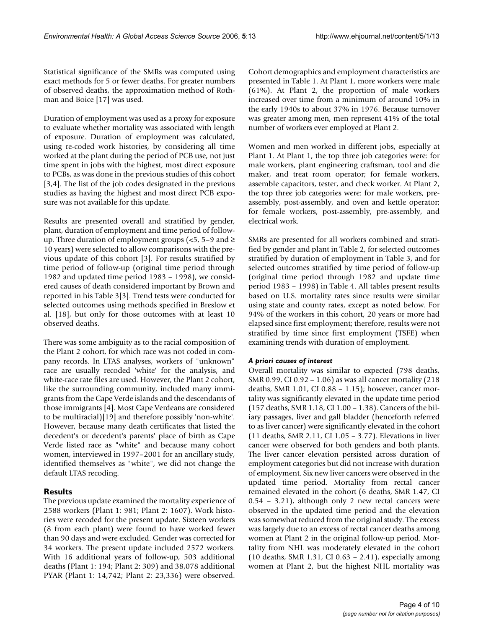Statistical significance of the SMRs was computed using exact methods for 5 or fewer deaths. For greater numbers of observed deaths, the approximation method of Rothman and Boice [17] was used.

Duration of employment was used as a proxy for exposure to evaluate whether mortality was associated with length of exposure. Duration of employment was calculated, using re-coded work histories, by considering all time worked at the plant during the period of PCB use, not just time spent in jobs with the highest, most direct exposure to PCBs, as was done in the previous studies of this cohort [3,4]. The list of the job codes designated in the previous studies as having the highest and most direct PCB exposure was not available for this update.

Results are presented overall and stratified by gender, plant, duration of employment and time period of followup. Three duration of employment groups ( $\lt5$ , 5–9 and  $\ge$ 10 years) were selected to allow comparisons with the previous update of this cohort [3]. For results stratified by time period of follow-up (original time period through 1982 and updated time period 1983 – 1998), we considered causes of death considered important by Brown and reported in his Table 3[3]. Trend tests were conducted for selected outcomes using methods specified in Breslow et al. [18], but only for those outcomes with at least 10 observed deaths.

There was some ambiguity as to the racial composition of the Plant 2 cohort, for which race was not coded in company records. In LTAS analyses, workers of "unknown" race are usually recoded 'white' for the analysis, and white-race rate files are used. However, the Plant 2 cohort, like the surrounding community, included many immigrants from the Cape Verde islands and the descendants of those immigrants [4]. Most Cape Verdeans are considered to be multiracial)[19] and therefore possibly 'non-white'. However, because many death certificates that listed the decedent's or decedent's parents' place of birth as Cape Verde listed race as "white" and because many cohort women, interviewed in 1997–2001 for an ancillary study, identified themselves as "white", we did not change the default LTAS recoding.

## **Results**

The previous update examined the mortality experience of 2588 workers (Plant 1: 981; Plant 2: 1607). Work histories were recoded for the present update. Sixteen workers (8 from each plant) were found to have worked fewer than 90 days and were excluded. Gender was corrected for 34 workers. The present update included 2572 workers. With 16 additional years of follow-up, 503 additional deaths (Plant 1: 194; Plant 2: 309) and 38,078 additional PYAR (Plant 1: 14,742; Plant 2: 23,336) were observed.

Cohort demographics and employment characteristics are presented in Table 1. At Plant 1, more workers were male (61%). At Plant 2, the proportion of male workers increased over time from a minimum of around 10% in the early 1940s to about 37% in 1976. Because turnover was greater among men, men represent 41% of the total number of workers ever employed at Plant 2.

Women and men worked in different jobs, especially at Plant 1. At Plant 1, the top three job categories were: for male workers, plant engineering craftsman, tool and die maker, and treat room operator; for female workers, assemble capacitors, tester, and check worker. At Plant 2, the top three job categories were: for male workers, preassembly, post-assembly, and oven and kettle operator; for female workers, post-assembly, pre-assembly, and electrical work.

SMRs are presented for all workers combined and stratified by gender and plant in Table 2, for selected outcomes stratified by duration of employment in Table 3, and for selected outcomes stratified by time period of follow-up (original time period through 1982 and update time period 1983 – 1998) in Table 4. All tables present results based on U.S. mortality rates since results were similar using state and county rates, except as noted below. For 94% of the workers in this cohort, 20 years or more had elapsed since first employment; therefore, results were not stratified by time since first employment (TSFE) when examining trends with duration of employment.

## *A priori causes of interest*

Overall mortality was similar to expected (798 deaths, SMR 0.99, CI 0.92 – 1.06) as was all cancer mortality (218 deaths, SMR 1.01, CI 0.88 – 1.15); however, cancer mortality was significantly elevated in the update time period (157 deaths, SMR 1.18, CI 1.00 – 1.38). Cancers of the biliary passages, liver and gall bladder (henceforth referred to as liver cancer) were significantly elevated in the cohort (11 deaths, SMR 2.11, CI 1.05 – 3.77). Elevations in liver cancer were observed for both genders and both plants. The liver cancer elevation persisted across duration of employment categories but did not increase with duration of employment. Six new liver cancers were observed in the updated time period. Mortality from rectal cancer remained elevated in the cohort (6 deaths, SMR 1.47, CI 0.54 – 3.21), although only 2 new rectal cancers were observed in the updated time period and the elevation was somewhat reduced from the original study. The excess was largely due to an excess of rectal cancer deaths among women at Plant 2 in the original follow-up period. Mortality from NHL was moderately elevated in the cohort (10 deaths, SMR 1.31, CI 0.63 – 2.41), especially among women at Plant 2, but the highest NHL mortality was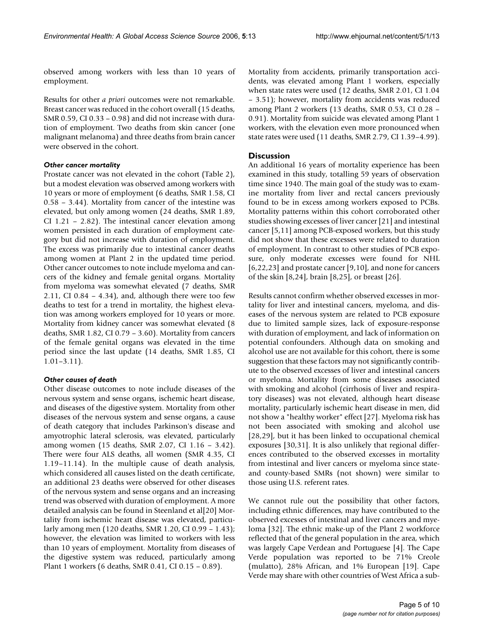observed among workers with less than 10 years of employment.

Results for other *a priori* outcomes were not remarkable. Breast cancer was reduced in the cohort overall (15 deaths, SMR 0.59, CI 0.33 – 0.98) and did not increase with duration of employment. Two deaths from skin cancer (one malignant melanoma) and three deaths from brain cancer were observed in the cohort.

## *Other cancer mortality*

Prostate cancer was not elevated in the cohort (Table 2), but a modest elevation was observed among workers with 10 years or more of employment (6 deaths, SMR 1.58, CI 0.58 – 3.44). Mortality from cancer of the intestine was elevated, but only among women (24 deaths, SMR 1.89, CI 1.21 – 2.82). The intestinal cancer elevation among women persisted in each duration of employment category but did not increase with duration of employment. The excess was primarily due to intestinal cancer deaths among women at Plant 2 in the updated time period. Other cancer outcomes to note include myeloma and cancers of the kidney and female genital organs. Mortality from myeloma was somewhat elevated (7 deaths, SMR 2.11, CI 0.84 – 4.34), and, although there were too few deaths to test for a trend in mortality, the highest elevation was among workers employed for 10 years or more. Mortality from kidney cancer was somewhat elevated (8 deaths, SMR 1.82, CI 0.79 – 3.60). Mortality from cancers of the female genital organs was elevated in the time period since the last update (14 deaths, SMR 1.85, CI 1.01–3.11).

## *Other causes of death*

Other disease outcomes to note include diseases of the nervous system and sense organs, ischemic heart disease, and diseases of the digestive system. Mortality from other diseases of the nervous system and sense organs, a cause of death category that includes Parkinson's disease and amyotrophic lateral sclerosis, was elevated, particularly among women (15 deaths, SMR 2.07, CI 1.16 – 3.42). There were four ALS deaths, all women (SMR 4.35, CI 1.19–11.14). In the multiple cause of death analysis, which considered all causes listed on the death certificate, an additional 23 deaths were observed for other diseases of the nervous system and sense organs and an increasing trend was observed with duration of employment. A more detailed analysis can be found in Steenland et al[20] Mortality from ischemic heart disease was elevated, particularly among men (120 deaths, SMR 1.20, CI 0.99 – 1.43); however, the elevation was limited to workers with less than 10 years of employment. Mortality from diseases of the digestive system was reduced, particularly among Plant 1 workers (6 deaths, SMR 0.41, CI 0.15 – 0.89).

Mortality from accidents, primarily transportation accidents, was elevated among Plant 1 workers, especially when state rates were used (12 deaths, SMR 2.01, CI 1.04 – 3.51); however, mortality from accidents was reduced among Plant 2 workers (13 deaths, SMR 0.53, CI 0.28 – 0.91). Mortality from suicide was elevated among Plant 1 workers, with the elevation even more pronounced when state rates were used (11 deaths, SMR 2.79, CI 1.39–4.99).

## **Discussion**

An additional 16 years of mortality experience has been examined in this study, totalling 59 years of observation time since 1940. The main goal of the study was to examine mortality from liver and rectal cancers previously found to be in excess among workers exposed to PCBs. Mortality patterns within this cohort corroborated other studies showing excesses of liver cancer [21] and intestinal cancer [5,11] among PCB-exposed workers, but this study did not show that these excesses were related to duration of employment. In contrast to other studies of PCB exposure, only moderate excesses were found for NHL [6,22,23] and prostate cancer [9,10], and none for cancers of the skin [8,24], brain [8,25], or breast [26].

Results cannot confirm whether observed excesses in mortality for liver and intestinal cancers, myeloma, and diseases of the nervous system are related to PCB exposure due to limited sample sizes, lack of exposure-response with duration of employment, and lack of information on potential confounders. Although data on smoking and alcohol use are not available for this cohort, there is some suggestion that these factors may not significantly contribute to the observed excesses of liver and intestinal cancers or myeloma. Mortality from some diseases associated with smoking and alcohol (cirrhosis of liver and respiratory diseases) was not elevated, although heart disease mortality, particularly ischemic heart disease in men, did not show a "healthy worker" effect [27]. Myeloma risk has not been associated with smoking and alcohol use [28,29], but it has been linked to occupational chemical exposures [30,31]. It is also unlikely that regional differences contributed to the observed excesses in mortality from intestinal and liver cancers or myeloma since stateand county-based SMRs (not shown) were similar to those using U.S. referent rates.

We cannot rule out the possibility that other factors, including ethnic differences, may have contributed to the observed excesses of intestinal and liver cancers and myeloma [32]. The ethnic make-up of the Plant 2 workforce reflected that of the general population in the area, which was largely Cape Verdean and Portuguese [4]. The Cape Verde population was reported to be 71% Creole (mulatto), 28% African, and 1% European [19]. Cape Verde may share with other countries of West Africa a sub-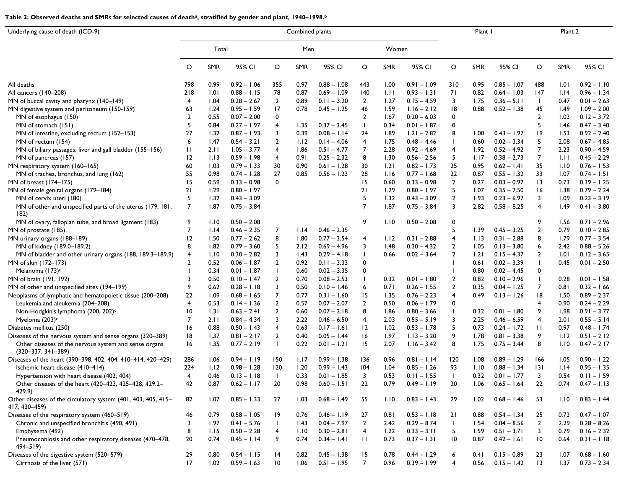#### Table 2: Observed deaths and SMRs for selected causes of death<sup>a</sup>, stratified by gender and plant, 1940–1998.<sup>b</sup>

| Underlying cause of death (ICD-9)                                              | Combined plants         |       |               |                 |            |               |                |            |               |                 |            | Plant I       |                 |      | Plant 2       |  |  |
|--------------------------------------------------------------------------------|-------------------------|-------|---------------|-----------------|------------|---------------|----------------|------------|---------------|-----------------|------------|---------------|-----------------|------|---------------|--|--|
|                                                                                |                         | Total |               |                 | Men        |               |                | Women      |               |                 |            |               |                 |      |               |  |  |
|                                                                                | $\circ$                 | SMR   | 95% CI        | O               | <b>SMR</b> | 95% CI        | O              | <b>SMR</b> | 95% CI        | O               | <b>SMR</b> | 95% CI        | $\circ$         | SMR  | 95% CI        |  |  |
| All deaths                                                                     | 798                     | 0.99  | $0.92 - 1.06$ | 355             | 0.97       | $0.88 - 1.08$ | 443            | 1.00       | $0.91 - 1.09$ | 310             | 0.95       | $0.85 - 1.07$ | 488             | 1.01 | $0.92 - 1.10$ |  |  |
| All cancers (140-208)                                                          | 218                     | 1.01  | $0.88 - 1.15$ | 78              | 0.87       | $0.69 - 1.09$ | 140            | 1.11       | $0.93 - 1.31$ | 71              | 0.82       | $0.64 - 1.03$ | 147             | 1.14 | $0.96 - 1.34$ |  |  |
| MN of buccal cavity and pharynx (140-149)                                      | 4                       | 1.04  | $0.28 - 2.67$ | 2               | 0.89       | $0.11 - 3.20$ | 2              | 1.27       | $0.15 - 4.59$ | 3               | 1.75       | $0.36 - 5.11$ | $\mathbf{I}$    | 0.47 | $0.01 - 2.63$ |  |  |
| MN digestive system and peritoneum (150-159)                                   | 63                      | 1.24  | $0.95 - 1.59$ | 17              | 0.78       | $0.45 - 1.25$ | 46             | 1.59       | $1.16 - 2.12$ | 18              | 0.88       | $0.52 - 1.38$ | 45              | 1.49 | $1.09 - 2.00$ |  |  |
| MN of esophagus (150)                                                          | $\overline{2}$          | 0.55  | $0.07 - 2.00$ | 0               |            |               | $\overline{2}$ | 1.67       | $0.20 - 6.03$ | 0               |            |               | $\overline{2}$  | 1.03 | $0.12 - 3.72$ |  |  |
| MN of stomach (151)                                                            | 5                       | 0.84  | $0.27 - 1.97$ | 4               | 1.35       | $0.37 - 3.45$ | $\mathbf{I}$   | 0.34       | $0.01 - 1.87$ | 0               |            |               | 5               | 1.46 | $0.47 - 3.40$ |  |  |
| MN of intestine, excluding rectum (152-153)                                    | 27                      | 1.32  | $0.87 - 1.93$ | 3               | 0.39       | $0.08 - 1.14$ | 24             | 1.89       | $1.21 - 2.82$ | 8               | 1.00       | $0.43 - 1.97$ | 19              | 1.53 | $0.92 - 2.40$ |  |  |
| MN of rectum (154)                                                             | 6                       | 1.47  | $0.54 - 3.21$ | $\overline{2}$  | 1.12       | $0.14 - 4.06$ | 4              | 1.75       | $0.48 - 4.46$ |                 | 0.60       | $0.02 - 3.34$ | 5               | 2.08 | $0.67 - 4.85$ |  |  |
| MN of biliary passages, liver and gall bladder (155-156)                       | $\mathbf{H}$            | 2.11  | $1.05 - 3.77$ | $\overline{4}$  | 1.86       | $0.51 - 4.77$ | 7              | 2.28       | $0.92 - 4.69$ | 4               | 1.92       | $0.52 - 4.92$ | $\overline{7}$  | 2.23 | $0.90 - 4.59$ |  |  |
| MN of pancreas (157)                                                           | 12                      | 1.13  | $0.59 - 1.98$ | 4               | 0.91       | $0.25 - 2.32$ | 8              | 1.30       | $0.56 - 2.56$ | 5               | 1.17       | $0.38 - 2.73$ | 7               | Ш    | $0.45 - 2.29$ |  |  |
| MN respiratory system (160-165)                                                | 60                      | 1.03  | $0.79 - 1.33$ | 30              | 0.90       | $0.61 - 1.28$ | 30             | 1.21       | $0.82 - 1.73$ | 25              | 0.95       | $0.62 - 1.41$ | 35              | 1.10 | $0.76 - 1.53$ |  |  |
| MN of trachea, bronchus, and lung (162)                                        | 55                      | 0.98  | $0.74 - 1.28$ | 27              | 0.85       | $0.56 - 1.23$ | 28             | 1.16       | $0.77 - 1.68$ | 22              | 0.87       | $0.55 - 1.32$ | 33              | 1.07 | $0.74 - 1.51$ |  |  |
| MN of breast (174-175)                                                         | 15                      | 0.59  | $0.33 - 0.98$ | 0               |            |               | 15             | 0.60       | $0.33 - 0.98$ | $\overline{2}$  | 0.27       | $0.03 - 0.97$ | 13              | 0.73 | $0.39 - 1.25$ |  |  |
| MN of female genital organs (179-184)                                          | 21                      | 1.29  | $0.80 - 1.97$ |                 |            |               | 21             | 1.29       | $0.80 - 1.97$ | 5               | 1.07       | $0.35 - 2.50$ | 16              | 1.38 | $0.79 - 2.24$ |  |  |
| MN of cervix uteri (180)                                                       | 5                       | 1.32  | $0.43 - 3.09$ |                 |            |               | 5              | 1.32       | $0.43 - 3.09$ | 2               | 1.93       | $0.23 - 6.97$ | 3               | 1.09 | $0.23 - 3.19$ |  |  |
| MN of other and unspecified parts of the uterus (179, 181,<br>182)             | 7                       | 1.87  | $0.75 - 3.84$ |                 |            |               | 7              | 1.87       | $0.75 - 3.84$ | 3               | 2.82       | $0.58 - 8.25$ | 4               | 1.49 | $0.41 - 3.80$ |  |  |
| MN of ovary, fallopian tube, and broad ligament (183)                          | 9                       | 1.10  | $0.50 - 2.08$ |                 |            |               | 9              | 1.10       | $0.50 - 2.08$ | 0               |            |               | 9               | 1.56 | $0.71 - 2.96$ |  |  |
| MN of prostate (185)                                                           | 7                       | 1.14  | $0.46 - 2.35$ | 7               | 1.14       | $0.46 - 2.35$ |                |            |               | 5               | 1.39       | $0.45 - 3.25$ | $\overline{2}$  | 0.79 | $0.10 - 2.85$ |  |  |
| MN urinary organs (188-189)                                                    | 2                       | 1.50  | $0.77 - 2.62$ | 8               | 1.80       | $0.77 - 3.54$ | 4              | 1.12       | $0.31 - 2.88$ | 4               | 1.13       | $0.31 - 2.88$ | 8               | 1.79 | $0.77 - 3.54$ |  |  |
| MN of kidney (189.0-189.2)                                                     | 8                       | 1.82  | $0.79 - 3.60$ | 5               | 2.12       | $0.69 - 4.96$ | 3              | 1.48       | $0.30 - 4.32$ | 2               | 1.05       | $0.13 - 3.80$ | 6               | 2.42 | $0.88 - 5.26$ |  |  |
| MN of bladder and other urinary organs (188, 189.3–189.9)                      | 4                       | 1.10  | $0.30 - 2.82$ | 3               | 1.43       | $0.29 - 4.18$ | $\mathbf{I}$   | 0.66       | $0.02 - 3.64$ | $\overline{2}$  | 1.21       | $0.15 - 4.37$ | $\overline{2}$  | 1.01 | $0.12 - 3.65$ |  |  |
| MN of skin (172-173)                                                           | $\overline{\mathbf{2}}$ | 0.52  | $0.06 - 1.87$ | $\overline{2}$  | 0.92       | $0.11 - 3.33$ | 0              |            |               |                 | 0.61       | $0.02 - 3.39$ |                 | 0.45 | $0.01 - 2.50$ |  |  |
| Melanoma (173) <sup>c</sup>                                                    | $\mathbf{I}$            | 0.34  | $0.01 - 1.87$ |                 | 0.60       | $0.02 - 3.35$ | 0              |            |               |                 | 0.80       | $0.02 - 4.45$ | 0               |      |               |  |  |
| MN of brain (191, 192)                                                         | 3                       | 0.50  | $0.10 - 1.47$ | $\overline{2}$  | 0.70       | $0.08 - 2.53$ | $\mathbf{I}$   | 0.32       | $0.01 - 1.80$ | $\overline{2}$  | 0.82       | $0.10 - 2.96$ |                 | 0.28 | $0.01 - 1.58$ |  |  |
| MN of other and unspecified sites (194-199)                                    | 9                       | 0.62  | $0.28 - 1.18$ | 3               | 0.50       | $0.10 - 1.46$ | 6              | 0.71       | $0.26 - 1.55$ | $\overline{2}$  | 0.35       | $0.04 - 1.25$ | 7               | 0.81 | $0.32 - 1.66$ |  |  |
| Neoplasms of lymphatic and hematopoietic tissue (200-208)                      | 22                      | 1.09  | $0.68 - 1.65$ | 7               | 0.77       | $0.31 - 1.60$ | 15             | 1.35       | $0.76 - 2.23$ | 4               | 0.49       | $0.13 - 1.26$ | 18              | 1.50 | $0.89 - 2.37$ |  |  |
| Leukemia and aleukemia (204-208)                                               | 4                       | 0.53  | $0.14 - 1.36$ | $\overline{2}$  | 0.57       | $0.07 - 2.07$ | $\overline{2}$ | 0.50       | $0.06 - 1.79$ | 0               |            |               |                 | 0.90 | $0.24 - 2.29$ |  |  |
| Non-Hodgkin's lymphoma (200, 202) <sup>c</sup>                                 | 10                      | 1.31  | $0.63 - 2.41$ | $\overline{2}$  | 0.60       | $0.07 - 2.18$ | 8              | 1.86       | $0.80 - 3.66$ |                 | 0.32       | $0.01 - 1.80$ | 9               | 1.98 | $0.91 - 3.77$ |  |  |
| Myeloma (203) <sup>c</sup>                                                     | 7                       | 2.11  | $0.84 - 4.34$ | 3               | 2.22       | $0.46 - 6.50$ | 4              | 2.03       | $0.55 - 5.19$ | 3               | 2.25       | $0.46 - 6.59$ | $\overline{4}$  | 2.01 | $0.55 - 5.14$ |  |  |
| Diabetes mellitus (250)                                                        | 16                      | 0.88  | $0.50 - 1.43$ | 4               | 0.63       | $0.17 - 1.61$ | 12             | 1.02       | $0.53 - 1.78$ | 5               | 0.73       | $0.24 - 1.72$ | П               | 0.97 | $0.48 - 1.74$ |  |  |
| Diseases of the nervous system and sense organs (320-389)                      | 18                      | 1.37  | $0.81 - 2.17$ | $\overline{2}$  | 0.40       | $0.05 - 1.44$ | 16             | 1.97       | $1.13 - 3.20$ | 9               | 1.78       | $0.81 - 3.38$ | 9               | 1.12 | $0.51 - 2.12$ |  |  |
| Other diseases of the nervous system and sense organs<br>$(320-337, 341-389)$  | 16                      | 1.35  | $0.77 - 2.19$ |                 | 0.22       | $0.01 - 1.21$ | 15             | 2.07       | $1.16 - 3.42$ | 8               | 1.75       | $0.75 - 3.44$ | 8               | 1.10 | $0.47 - 2.17$ |  |  |
| Diseases of the heart (390-398, 402, 404, 410-414, 420-429)                    | 286                     | 1.06  | $0.94 - 1.19$ | 150             | 1.17       | $0.99 - 1.38$ | 136            | 0.96       | $0.81 - 1.14$ | 120             | 1.08       | $0.89 - 1.29$ | 166             | 1.05 | $0.90 - 1.22$ |  |  |
| Ischemic heart disease (410-414)                                               | 224                     | 1.12  | $0.98 - 1.28$ | 120             | 1.20       | $0.99 - 1.43$ | 104            | 1.04       | $0.85 - 1.26$ | 93              | 1.10       | $0.88 - 1.34$ | 3               | 1.14 | $0.95 - 1.35$ |  |  |
| Hypertension with heart disease (402, 404)                                     | 4                       | 0.46  | $0.13 - 1.18$ | $\perp$         | 0.33       | $0.01 - 1.85$ | 3              | 0.53       | $0.11 - 1.55$ |                 | 0.32       | $0.01 - 1.77$ | 3               | 0.54 | $0.11 - 1.59$ |  |  |
| Other diseases of the heart (420-423, 425-428, 429.2-<br>429.9)                | 42                      | 0.87  | $0.62 - 1.17$ | 20              | 0.98       | $0.60 - 1.51$ | $22\,$         | 0.79       | $0.49 - 1.19$ | 20              | 1.06       | $0.65 - 1.64$ | 22              | 0.74 | $0.47 - 1.13$ |  |  |
| Other diseases of the circulatory system (401, 403, 405, 415-<br>417, 430-459) | 82                      | 1.07  | $0.85 - 1.33$ | 27              | 1.03       | $0.68 - 1.49$ | 55             | 1.10       | $0.83 - 1.43$ | 29              | 1.02       | $0.68 - 1.46$ | 53              | 1.10 | $0.83 - 1.44$ |  |  |
| Diseases of the respiratory system (460-519)                                   | 46                      | 0.79  | $0.58 - 1.05$ | 19              | 0.76       | $0.46 - 1.19$ | 27             | 0.81       | $0.53 - 1.18$ | 21              | 0.88       | $0.54 - 1.34$ | 25              | 0.73 | $0.47 - 1.07$ |  |  |
| Chronic and unspecified bronchitis (490, 491)                                  | 3                       | 1.97  | $0.41 - 5.76$ | $\mathbf{I}$    | 1.43       | $0.04 - 7.97$ | $\overline{2}$ | 2.42       | $0.29 - 8.74$ |                 | 1.54       | $0.04 - 8.56$ | $\overline{2}$  | 2.29 | $0.28 - 8.26$ |  |  |
| Emphysema (492)                                                                | 8                       | 1.15  | $0.50 - 2.28$ | 4               | 1.10       | $0.30 - 2.81$ | $\overline{4}$ | 1.22       | $0.33 - 3.11$ | 5               | 1.59       | $0.51 - 3.71$ | 3               | 0.79 | $0.16 - 2.32$ |  |  |
| Pneumoconiosis and other respiratory diseases (470–478,<br>$494 - 519$         | 20                      | 0.74  | $0.45 - 1.14$ | 9               | 0.74       | $0.34 - 1.41$ | $\mathbf{H}$   | 0.73       | $0.37 - 1.31$ | $\overline{10}$ | 0.87       | $0.42 - 1.61$ | 10              | 0.64 | $0.31 - 1.18$ |  |  |
| Diseases of the digestive system (520-579)                                     | 29                      | 0.80  | $0.54 - 1.15$ | 4               | 0.82       | $0.45 - 1.38$ | 15             | 0.78       | $0.44 - 1.29$ | 6               | 0.41       | $0.15 - 0.89$ | 23              | 1.07 | $0.68 - 1.60$ |  |  |
| Cirrhosis of the liver (571)                                                   | 17                      | 1.02  | $0.59 - 1.63$ | $\overline{10}$ | 1.06       | $0.51 - 1.95$ | $\overline{7}$ | 0.96       | $0.39 - 1.99$ | $\overline{4}$  | 0.56       | $0.15 - 1.42$ | $\overline{13}$ | 1.37 | $0.73 - 2.34$ |  |  |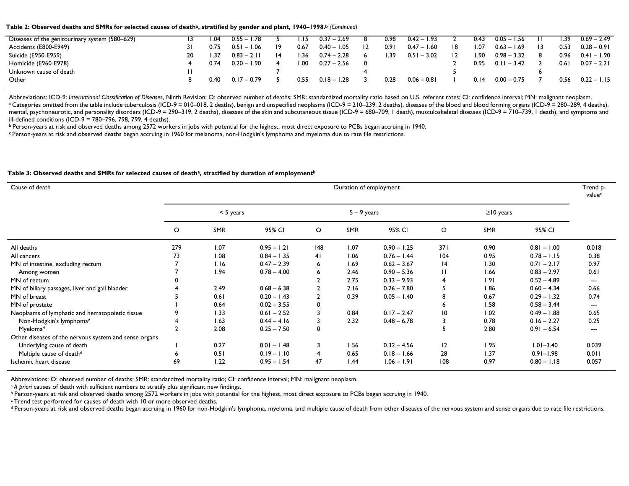#### Table 2: Observed deaths and SMRs for selected causes of death<sup>a</sup>, stratified by gender and plant, 1940–1998.<sup>b</sup> (Continued)

| Diseases of the genitourinary system (580–629) |    | .04  | $0.55 - 1.78$ |    | .15  | $0.37 - 2.69$ |                | 0.98 | $0.42 - 1.93$ |                | 0.43 | $0.05 - 1.56$ | .39  | $0.69 - 2.49$ |
|------------------------------------------------|----|------|---------------|----|------|---------------|----------------|------|---------------|----------------|------|---------------|------|---------------|
| Accidents (E800-E949)                          |    | 0.75 | $0.51 - 1.06$ | 19 | 0.67 | $0.40 - 1.05$ | $\overline{2}$ | 0.91 | $0.47 - 1.60$ | 18             | I.O7 | $0.63 - 1.69$ | 0.53 | $0.28 - 0.91$ |
| Suicide (E950-E959)                            | 20 | .37  | $0.83 - 2.11$ | 14 | .36  | $0.74 - 2.28$ |                | .39  | $0.51 - 3.02$ | $\overline{2}$ | I.90 | $0.98 - 3.32$ | 0.96 | $0.41 - 1.90$ |
| Homicide (E960-E978)                           |    | 0.74 | $0.20 - 1.90$ |    | '.00 | $0.27 - 2.56$ |                |      |               |                | 0.95 | $0.11 - 3.42$ | 0.61 | $0.07 - 2.21$ |
| Unknown cause of death                         |    |      |               |    |      |               |                |      |               |                |      |               |      |               |
| Other                                          |    | 0.40 | $0.17 - 0.79$ |    | 0.55 | $0.18 - 1.28$ |                | 0.28 | $0.06 - 0.81$ |                | 0.14 | $0.00 - 0.75$ | 0.56 | $0.22 - 1.15$ |
|                                                |    |      |               |    |      |               |                |      |               |                |      |               |      |               |

Abbreviations: ICD-9: International Classification of Diseases, Ninth Revision; O: observed number of deaths; SMR: standardized mortality ratio based on U.S. referent rates; CI: confidence interval; MN: malignant neoplasm. <sup>a</sup> Categories omitted from the table include tuberculosis (ICD-9 = 010–018, 2 deaths), benign and unspecified neoplasms (ICD-9 = 210–239, 2 deaths), diseases of the blood and blood forming organs (ICD-9 = 280–289, 4 deat mental, psychoneurotic, and personality disorders (ICD-9 = 290–319, 2 deaths), diseases of the skin and subcutaneous tissue (ICD-9 = 680–709, 1 death), musculoskeletal diseases (ICD-9 = 710–739, 1 death), and symptoms and ill-defined conditions (ICD-9 = 780–796, 798, 799, 4 deaths).

b Person-years at risk and observed deaths among 2572 workers in jobs with potential for the highest, most direct exposure to PCBs began accruing in 1940.

c Person-years at risk and observed deaths began accruing in 1960 for melanoma, non-Hodgkin's lymphoma and myeloma due to rate file restrictions.

#### Table 3: Observed deaths and SMRs for selected causes of death<sup>a</sup>, stratified by duration of employment<sup>b</sup>

| Cause of death                                        |         |             |               |                | Duration of employment |               |                 |                 |               | Trend p-<br>valuec       |
|-------------------------------------------------------|---------|-------------|---------------|----------------|------------------------|---------------|-----------------|-----------------|---------------|--------------------------|
|                                                       |         | $< 5$ years |               |                | $5 - 9$ years          |               |                 | $\geq$ 10 years |               |                          |
|                                                       | $\circ$ | <b>SMR</b>  | 95% CI        | $\circ$        | <b>SMR</b>             | 95% CI        | $\circ$         | <b>SMR</b>      | 95% CI        |                          |
| All deaths                                            | 279     | 1.07        | $0.95 - 1.21$ | 148            | 1.07                   | $0.90 - 1.25$ | 371             | 0.90            | $0.81 - 1.00$ | 0.018                    |
| All cancers                                           | 73      | 1.08        | $0.84 - 1.35$ | 41             | 1.06                   | $0.76 - 1.44$ | 104             | 0.95            | $0.78 - 1.15$ | 0.38                     |
| MN of intestine, excluding rectum                     |         | 1.16        | $0.47 - 2.39$ | 6              | 1.69                   | $0.62 - 3.67$ | 14              | 1.30            | $0.71 - 2.17$ | 0.97                     |
| Among women                                           |         | 1.94        | $0.78 - 4.00$ | 6              | 2.46                   | $0.90 - 5.36$ | П               | 1.66            | $0.83 - 2.97$ | 0.61                     |
| MN of rectum                                          |         |             |               |                | 2.75                   | $0.33 - 9.93$ |                 | 1.91            | $0.52 - 4.89$ | $\hspace{0.05cm} \ldots$ |
| MN of biliary passages, liver and gall bladder        |         | 2.49        | $0.68 - 6.38$ | $\mathbf{2}$   | 2.16                   | $0.26 - 7.80$ | 5               | 1.86            | $0.60 - 4.34$ | 0.66                     |
| MN of breast                                          |         | 0.61        | $0.20 - 1.43$ | $\overline{2}$ | 0.39                   | $0.05 - 1.40$ | 8               | 0.67            | $0.29 - 1.32$ | 0.74                     |
| MN of prostate                                        |         | 0.64        | $0.02 - 3.55$ | 0              |                        |               | 6               | 1.58            | $0.58 - 3.44$ | ---                      |
| Neoplasms of lymphatic and hematopoietic tissue       | 9       | 1.33        | $0.61 - 2.52$ | 3              | 0.84                   | $0.17 - 2.47$ | $\overline{10}$ | 1.02            | $0.49 - 1.88$ | 0.65                     |
| Non-Hodgkin's lymphoma <sup>d</sup>                   |         | 1.63        | $0.44 - 4.16$ | 3              | 2.32                   | $0.48 - 6.78$ |                 | 0.78            | $0.16 - 2.27$ | 0.25                     |
| Myelomad                                              |         | 2.08        | $0.25 - 7.50$ | 0              |                        |               |                 | 2.80            | $0.91 - 6.54$ | $\hspace{0.05cm} \ldots$ |
| Other diseases of the nervous system and sense organs |         |             |               |                |                        |               |                 |                 |               |                          |
| Underlying cause of death                             |         | 0.27        | $0.01 - 1.48$ | 3              | 1.56                   | $0.32 - 4.56$ | 12              | 1.95            | $1.01 - 3.40$ | 0.039                    |
| Multiple cause of death <sup>d</sup>                  | 6       | 0.51        | $0.19 - 1.10$ | 4              | 0.65                   | $0.18 - 1.66$ | 28              | 1.37            | $0.91 - 1.98$ | 0.011                    |
| Ischemic heart disease                                | 69      | 1.22        | $0.95 - 1.54$ | 47             | 1.44                   | $1.06 - 1.91$ | 108             | 0.97            | $0.80 - 1.18$ | 0.057                    |

Abbreviations: O: observed number of deaths; SMR: standardized mortality ratio; CI: confidence interval; MN: malignant neoplasm.

<sup>a</sup> A priori causes of death with sufficient numbers to stratify plus significant new findings.

b Person-years at risk and observed deaths among 2572 workers in jobs with potential for the highest, most direct exposure to PCBs began accruing in 1940.

c Trend test performed for causes of death with 10 or more observed deaths.

d Person-years at risk and observed deaths began accruing in 1960 for non-Hodgkin's lymphoma, myeloma, and multiple cause of death from other diseases of the nervous system and sense organs due to rate file restrictions.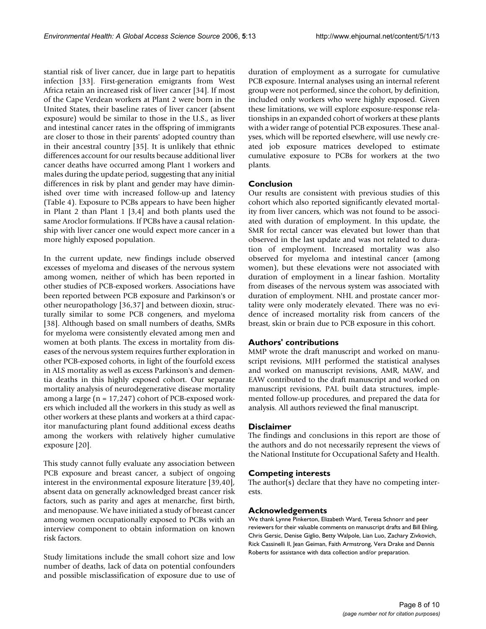stantial risk of liver cancer, due in large part to hepatitis infection [33]. First-generation emigrants from West Africa retain an increased risk of liver cancer [34]. If most of the Cape Verdean workers at Plant 2 were born in the United States, their baseline rates of liver cancer (absent exposure) would be similar to those in the U.S., as liver and intestinal cancer rates in the offspring of immigrants are closer to those in their parents' adopted country than in their ancestral country [35]. It is unlikely that ethnic differences account for our results because additional liver cancer deaths have occurred among Plant 1 workers and males during the update period, suggesting that any initial differences in risk by plant and gender may have diminished over time with increased follow-up and latency (Table 4). Exposure to PCBs appears to have been higher in Plant 2 than Plant 1 [3,4] and both plants used the same Aroclor formulations. If PCBs have a causal relationship with liver cancer one would expect more cancer in a more highly exposed population.

In the current update, new findings include observed excesses of myeloma and diseases of the nervous system among women, neither of which has been reported in other studies of PCB-exposed workers. Associations have been reported between PCB exposure and Parkinson's or other neuropathology [36,37] and between dioxin, structurally similar to some PCB congeners, and myeloma [38]. Although based on small numbers of deaths, SMRs for myeloma were consistently elevated among men and women at both plants. The excess in mortality from diseases of the nervous system requires further exploration in other PCB-exposed cohorts, in light of the fourfold excess in ALS mortality as well as excess Parkinson's and dementia deaths in this highly exposed cohort. Our separate mortality analysis of neurodegenerative disease mortality among a large (n = 17,247) cohort of PCB-exposed workers which included all the workers in this study as well as other workers at these plants and workers at a third capacitor manufacturing plant found additional excess deaths among the workers with relatively higher cumulative exposure [20].

This study cannot fully evaluate any association between PCB exposure and breast cancer, a subject of ongoing interest in the environmental exposure literature [39,40], absent data on generally acknowledged breast cancer risk factors, such as parity and ages at menarche, first birth, and menopause. We have initiated a study of breast cancer among women occupationally exposed to PCBs with an interview component to obtain information on known risk factors.

Study limitations include the small cohort size and low number of deaths, lack of data on potential confounders and possible misclassification of exposure due to use of duration of employment as a surrogate for cumulative PCB exposure. Internal analyses using an internal referent group were not performed, since the cohort, by definition, included only workers who were highly exposed. Given these limitations, we will explore exposure-response relationships in an expanded cohort of workers at these plants with a wider range of potential PCB exposures. These analyses, which will be reported elsewhere, will use newly created job exposure matrices developed to estimate cumulative exposure to PCBs for workers at the two plants.

## **Conclusion**

Our results are consistent with previous studies of this cohort which also reported significantly elevated mortality from liver cancers, which was not found to be associated with duration of employment. In this update, the SMR for rectal cancer was elevated but lower than that observed in the last update and was not related to duration of employment. Increased mortality was also observed for myeloma and intestinal cancer (among women), but these elevations were not associated with duration of employment in a linear fashion. Mortality from diseases of the nervous system was associated with duration of employment. NHL and prostate cancer mortality were only moderately elevated. There was no evidence of increased mortality risk from cancers of the breast, skin or brain due to PCB exposure in this cohort.

## **Authors' contributions**

MMP wrote the draft manuscript and worked on manuscript revisions, MJH performed the statistical analyses and worked on manuscript revisions, AMR, MAW, and EAW contributed to the draft manuscript and worked on manuscript revisions, PAL built data structures, implemented follow-up procedures, and prepared the data for analysis. All authors reviewed the final manuscript.

## **Disclaimer**

The findings and conclusions in this report are those of the authors and do not necessarily represent the views of the National Institute for Occupational Safety and Health.

## **Competing interests**

The author(s) declare that they have no competing interests.

## **Acknowledgements**

We thank Lynne Pinkerton, Elizabeth Ward, Teresa Schnorr and peer reviewers for their valuable comments on manuscript drafts and Bill Ehling, Chris Gersic, Denise Giglio, Betty Walpole, Lian Luo, Zachary Zivkovich, Rick Cassinelli II, Jean Geiman, Faith Armstrong, Vera Drake and Dennis Roberts for assistance with data collection and/or preparation.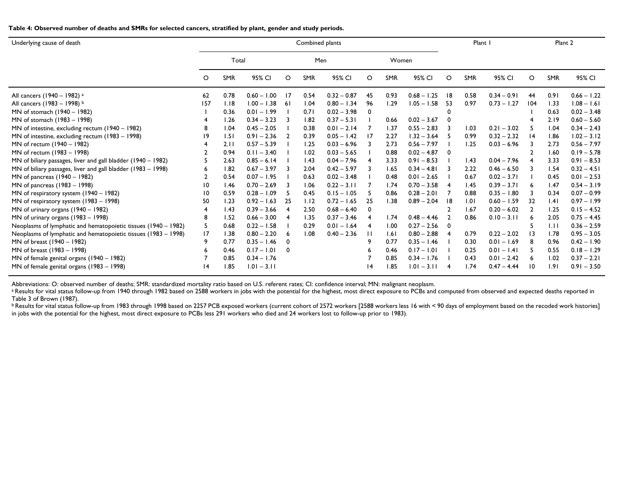**Table 4: Observed number of deaths and SMRs for selected cancers, stratified by plant, gender and study periods.**

| Underlying cause of death                                      | Combined plants |            |               |         |            |               |                |            |               |                | Plant I    |               |                 | Plant 2    |               |  |
|----------------------------------------------------------------|-----------------|------------|---------------|---------|------------|---------------|----------------|------------|---------------|----------------|------------|---------------|-----------------|------------|---------------|--|
|                                                                | Total           |            |               | Men     |            |               | Women          |            |               |                |            |               |                 |            |               |  |
|                                                                | $\circ$         | <b>SMR</b> | 95% CI        | $\circ$ | <b>SMR</b> | 95% CI        | O              | <b>SMR</b> | 95% CI        | O              | <b>SMR</b> | 95% CI        | O               | <b>SMR</b> | 95% CI        |  |
| All cancers (1940 - 1982) a                                    | 62              | 0.78       | $0.60 - 1.00$ | 17      | 0.54       | $0.32 - 0.87$ | 45             | 0.93       | $0.68 - 1.25$ | 18             | 0.58       | $0.34 - 0.91$ | 44              | 0.91       | $0.66 - 1.22$ |  |
| All cancers (1983 - 1998) b                                    | 157             | 1.18       | $1.00 - 1.38$ | -61     | 1.04       | $0.80 - 1.34$ | 96             | 1.29       | $1.05 - 1.58$ | 53             | 0.97       | $0.73 - 1.27$ | 104             | 1.33       | $1.08 - 1.61$ |  |
| MN of stomach (1940 - 1982)                                    |                 | 0.36       | $0.01 - 1.99$ |         | 0.71       | $0.02 - 3.98$ | 0              |            |               |                |            |               |                 | 0.63       | $0.02 - 3.48$ |  |
| MN of stomach (1983 – 1998)                                    |                 | 1.26       | $0.34 - 3.23$ | -3      | 1.82       | $0.37 - 5.31$ |                | 0.66       | $0.02 - 3.67$ | 0              |            |               | 4               | 2.19       | $0.60 - 5.60$ |  |
| MN of intestine, excluding rectum (1940 - 1982)                | 8               | 1.04       | $0.45 - 2.05$ |         | 0.38       | $0.01 - 2.14$ |                | 1.37       | $0.55 - 2.83$ |                | 1.03       | $0.21 - 3.02$ | 5               | 1.04       | $0.34 - 2.43$ |  |
| MN of intestine, excluding rectum (1983 - 1998)                | 19              | 1.51       | $0.91 - 2.36$ |         | 0.39       | $0.05 - 1.42$ | 17             | 2.27       | $1.32 - 3.64$ | .5             | 0.99       | $0.32 - 2.32$ | $\overline{14}$ | 1.86       | $1.02 - 3.12$ |  |
| MN of rectum (1940 - 1982)                                     |                 | 2.11       | $0.57 - 5.39$ |         | 1.25       | $0.03 - 6.96$ | 3              | 2.73       | $0.56 - 7.97$ |                | 1.25       | $0.03 - 6.96$ | 3               | 2.73       | $0.56 - 7.97$ |  |
| MN of rectum (1983 - 1998)                                     |                 | 0.94       | $0.11 - 3.40$ |         | 1.02       | $0.03 - 5.65$ |                | 0.88       | $0.02 - 4.87$ | 0              |            |               | 2               | 1.60       | $0.19 - 5.78$ |  |
| MN of biliary passages, liver and gall bladder (1940 – 1982)   |                 | 2.63       | $0.85 - 6.14$ |         | 1.43       | $0.04 - 7.96$ | 4              | 3.33       | $0.91 - 8.53$ |                | 1.43       | $0.04 - 7.96$ | 4               | 3.33       | $0.91 - 8.53$ |  |
| MN of biliary passages, liver and gall bladder (1983 – 1998)   | 6               | 1.82       | $0.67 - 3.97$ |         | 2.04       | $0.42 - 5.97$ | 3              | 1.65       | $0.34 - 4.81$ | ्र             | 2.22       | $0.46 - 6.50$ |                 | 1.54       | $0.32 - 4.51$ |  |
| MN of pancreas (1940 - 1982)                                   |                 | 0.54       | $0.07 - 1.95$ |         | 0.63       | $0.02 - 3.48$ |                | 0.48       | $0.01 - 2.65$ |                | 0.67       | $0.02 - 3.71$ |                 | 0.45       | $0.01 - 2.53$ |  |
| MN of pancreas (1983 – 1998)                                   | 10              | 1.46       | $0.70 - 2.69$ |         | 1.06       | $0.22 - 3.11$ | 7              | 1.74       | $0.70 - 3.58$ |                | 1.45       | $0.39 - 3.71$ | 6               | 1.47       | $0.54 - 3.19$ |  |
| MN of respiratory system (1940 - 1982)                         | 10              | 0.59       | $0.28 - 1.09$ | -5      | 0.45       | $0.15 - 1.05$ | 5              | 0.86       | $0.28 - 2.01$ |                | 0.88       | $0.35 - 1.80$ | 3               | 0.34       | $0.07 - 0.99$ |  |
| MN of respiratory system (1983 - 1998)                         | 50              | 1.23       | $0.92 - 1.63$ | -25     | 1.12       | $0.72 - 1.65$ | 25             | 1.38       | $0.89 - 2.04$ | 18             | 1.01       | $0.60 - 1.59$ | 32              | .4         | $0.97 - 1.99$ |  |
| MN of urinary organs $(1940 - 1982)$                           |                 | 1.43       | $0.39 - 3.66$ |         | 2.50       | $0.68 - 6.40$ | 0              |            |               | $\overline{2}$ | 1.67       | $0.20 - 6.02$ | $\overline{2}$  | 1.25       | $0.15 - 4.52$ |  |
| MN of urinary organs $(1983 - 1998)$                           | 8               | 1.52       | $0.66 - 3.00$ |         | 1.35       | $0.37 - 3.46$ | $\overline{4}$ | 1.74       | $0.48 - 4.46$ | $\overline{2}$ | 0.86       | $0.10 - 3.11$ | 6               | 2.05       | $0.75 - 4.45$ |  |
| Neoplasms of lymphatic and hematopoietic tissues (1940 – 1982) | -5              | 0.68       | $0.22 - 1.58$ |         | 0.29       | $0.01 - 1.64$ | $\overline{4}$ | 1.00       | $0.27 - 2.56$ | 0              |            |               | 5               | 1.11       | $0.36 - 2.59$ |  |
| Neoplasms of lymphatic and hematopoietic tissues (1983 – 1998) | 17              | 1.38       | $0.80 - 2.20$ | 6       | 1.08       | $0.40 - 2.36$ | $\mathbf{H}$   | 1.61       | $0.80 - 2.88$ |                | 0.79       | $0.22 - 2.02$ | 13              | 1.78       | $0.95 - 3.05$ |  |
| MN of breast (1940 - 1982)                                     | -9              | 0.77       | $0.35 - 1.46$ | 0       |            |               |                | 0.77       | $0.35 - 1.46$ |                | 0.30       | $0.01 - 1.69$ | 8               | 0.96       | $0.42 - 1.90$ |  |
| MN of breast (1983 - 1998)                                     | 6               | 0.46       | $0.17 - 1.01$ | 0       |            |               | 6              | 0.46       | $0.17 - 1.01$ |                | 0.25       | $0.01 - 1.41$ |                 | 0.55       | $0.18 - 1.29$ |  |
| MN of female genital organs (1940 - 1982)                      |                 | 0.85       | $0.34 - 1.76$ |         |            |               |                | 0.85       | $0.34 - 1.76$ |                | 0.43       | $0.01 - 2.42$ | 6               | 1.02       | $0.37 - 2.21$ |  |
| MN of female genital organs (1983 - 1998)                      | $\overline{14}$ | 1.85       | $1.01 - 3.11$ |         |            |               | 14             | 1.85       | $1.01 - 3.11$ |                | 1.74       | $0.47 - 4.44$ | 10              | 1.91       | $0.91 - 3.50$ |  |

Abbreviations: O: observed number of deaths; SMR: standardized mortality ratio based on U.S. referent rates; CI: confidence interval; MN: malignant neoplasm.

a Results for vital status follow-up from 1940 through 1982 based on 2588 workers in jobs with the potential for the highest, most direct exposure to PCBs and computed from observed and expected deaths reported in Table 3 of Brown (1987).

**b Results for vital status follow-up from 1983 through 1998 based on 2257 PCB exposed workers (current cohort of 2572 workers [2588 workers less 16 with < 90 days of employment based on the recoded work histories]** in jobs with the potential for the highest, most direct exposure to PCBs less 291 workers who died and 24 workers lost to follow-up prior to 1983).